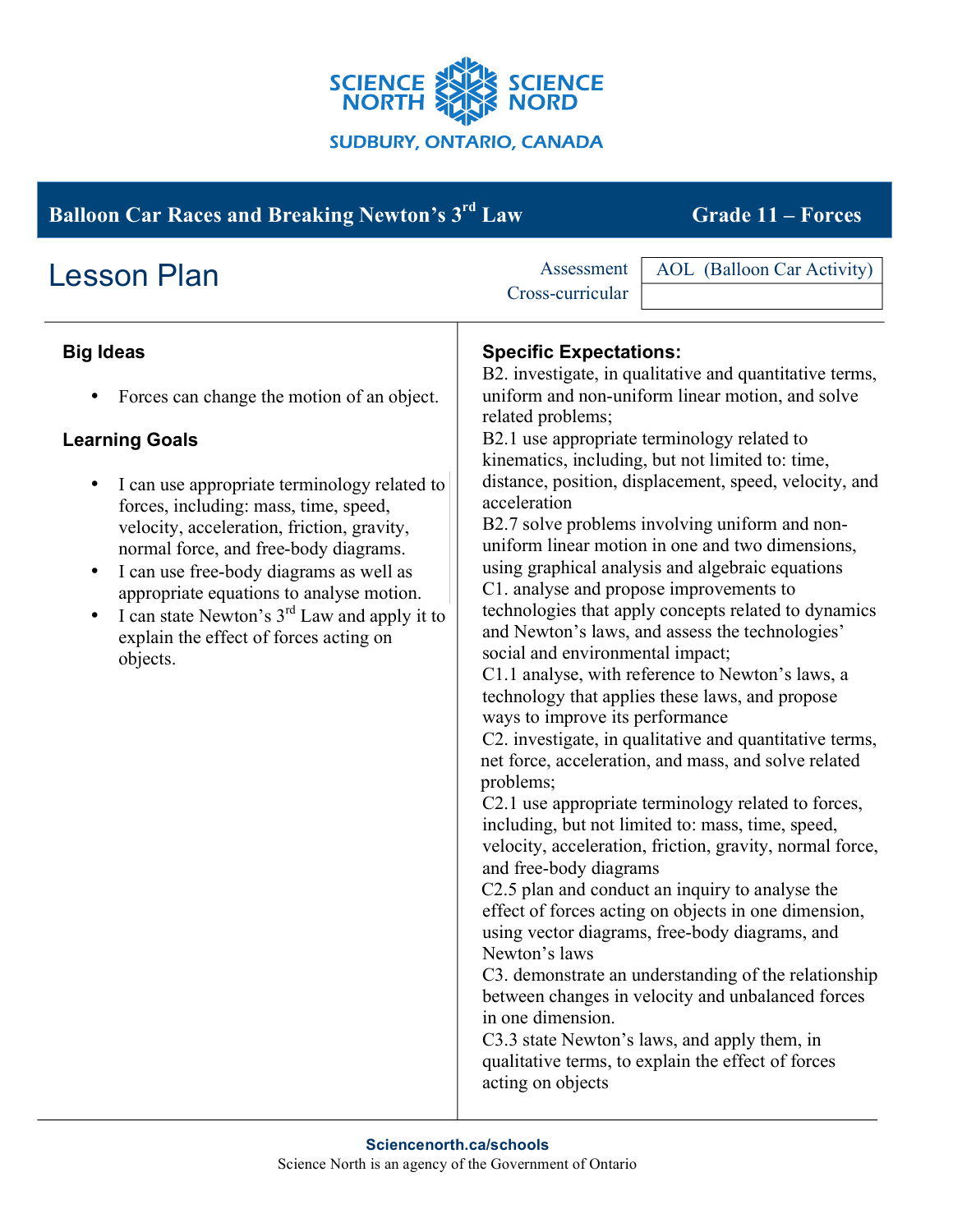

| <b>Balloon Car Races and Breaking Newton's 3rd Law</b>                                                                                                                                                                                                                                                                                                                                                                                                                                                          | <b>Grade 11 – Forces</b>                                                                                                                                                                                                                                                                                                                                                                                                                                                                                                                                                                                                                                                                                                                                                                                                                                                                                                                                                                                                                                                                                                                                                                                                                                                                                                                                                                                                                                                                                                                                                                                                  |
|-----------------------------------------------------------------------------------------------------------------------------------------------------------------------------------------------------------------------------------------------------------------------------------------------------------------------------------------------------------------------------------------------------------------------------------------------------------------------------------------------------------------|---------------------------------------------------------------------------------------------------------------------------------------------------------------------------------------------------------------------------------------------------------------------------------------------------------------------------------------------------------------------------------------------------------------------------------------------------------------------------------------------------------------------------------------------------------------------------------------------------------------------------------------------------------------------------------------------------------------------------------------------------------------------------------------------------------------------------------------------------------------------------------------------------------------------------------------------------------------------------------------------------------------------------------------------------------------------------------------------------------------------------------------------------------------------------------------------------------------------------------------------------------------------------------------------------------------------------------------------------------------------------------------------------------------------------------------------------------------------------------------------------------------------------------------------------------------------------------------------------------------------------|
| <b>Lesson Plan</b>                                                                                                                                                                                                                                                                                                                                                                                                                                                                                              | <b>AOL</b> (Balloon Car Activity)<br>Assessment<br>Cross-curricular                                                                                                                                                                                                                                                                                                                                                                                                                                                                                                                                                                                                                                                                                                                                                                                                                                                                                                                                                                                                                                                                                                                                                                                                                                                                                                                                                                                                                                                                                                                                                       |
| <b>Big Ideas</b><br>Forces can change the motion of an object.<br>٠<br><b>Learning Goals</b><br>I can use appropriate terminology related to<br>forces, including: mass, time, speed,<br>velocity, acceleration, friction, gravity,<br>normal force, and free-body diagrams.<br>I can use free-body diagrams as well as<br>$\bullet$<br>appropriate equations to analyse motion.<br>I can state Newton's 3 <sup>rd</sup> Law and apply it to<br>$\bullet$<br>explain the effect of forces acting on<br>objects. | <b>Specific Expectations:</b><br>B2. investigate, in qualitative and quantitative terms,<br>uniform and non-uniform linear motion, and solve<br>related problems;<br>B2.1 use appropriate terminology related to<br>kinematics, including, but not limited to: time,<br>distance, position, displacement, speed, velocity, and<br>acceleration<br>B2.7 solve problems involving uniform and non-<br>uniform linear motion in one and two dimensions,<br>using graphical analysis and algebraic equations<br>C1. analyse and propose improvements to<br>technologies that apply concepts related to dynamics<br>and Newton's laws, and assess the technologies'<br>social and environmental impact;<br>C1.1 analyse, with reference to Newton's laws, a<br>technology that applies these laws, and propose<br>ways to improve its performance<br>C2. investigate, in qualitative and quantitative terms,<br>net force, acceleration, and mass, and solve related<br>problems;<br>C2.1 use appropriate terminology related to forces,<br>including, but not limited to: mass, time, speed,<br>velocity, acceleration, friction, gravity, normal force,<br>and free-body diagrams<br>C2.5 plan and conduct an inquiry to analyse the<br>effect of forces acting on objects in one dimension,<br>using vector diagrams, free-body diagrams, and<br>Newton's laws<br>C3. demonstrate an understanding of the relationship<br>between changes in velocity and unbalanced forces<br>in one dimension.<br>C3.3 state Newton's laws, and apply them, in<br>qualitative terms, to explain the effect of forces<br>acting on objects |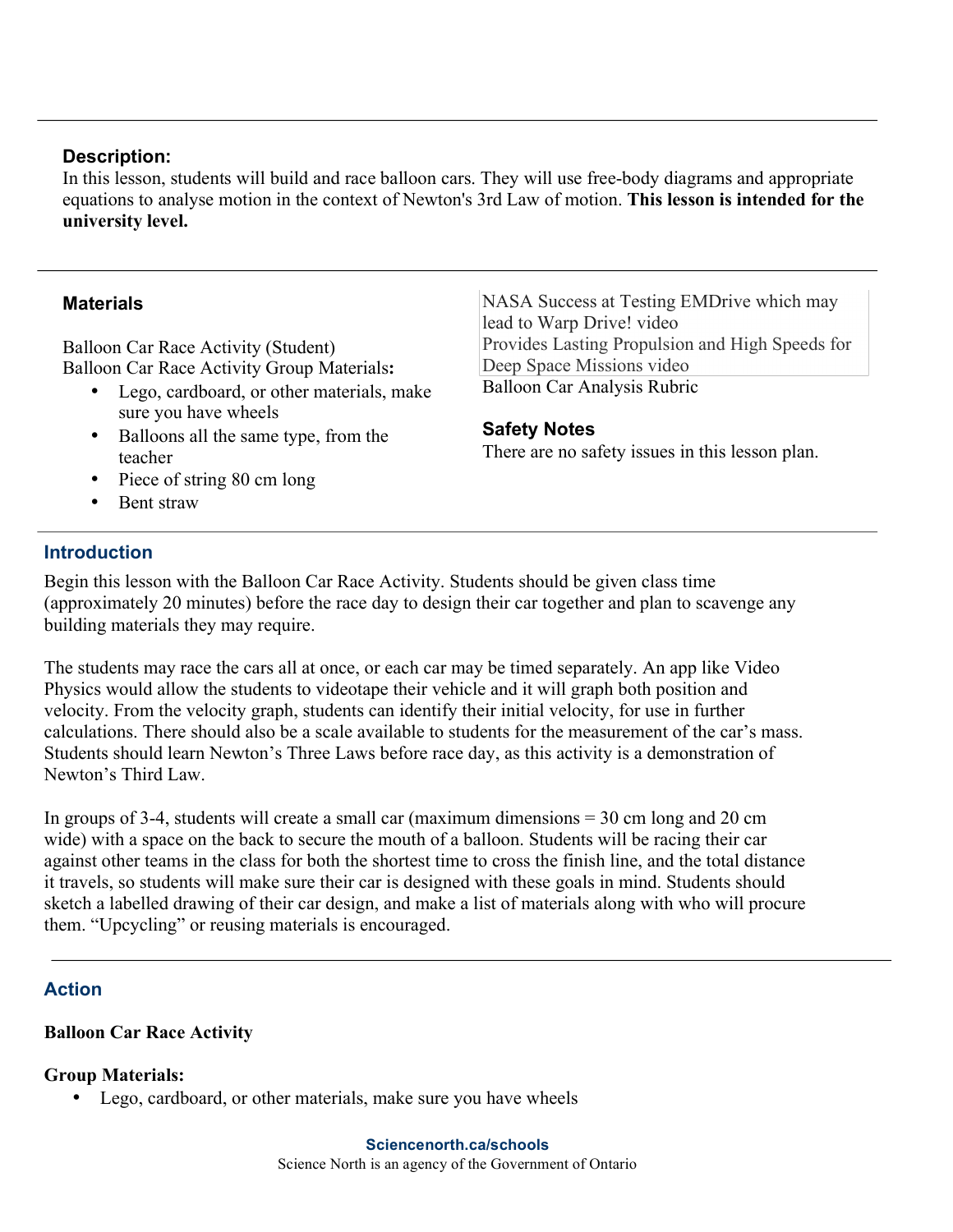### **Description:**

In this lesson, students will build and race balloon cars. They will use free-body diagrams and appropriate equations to analyse motion in the context of Newton's 3rd Law of motion. **This lesson is intended for the university level.**

### **Materials**

Balloon Car Race Activity (Student) Balloon Car Race Activity Group Materials**:**

- Lego, cardboard, or other materials, make sure you have wheels
- Balloons all the same type, from the teacher
- Piece of string 80 cm long
- Bent straw

NASA Success at Testing EMDrive which may lead to Warp Drive! video Provides Lasting Propulsion and High Speeds for Deep Space Missions video Balloon Car Analysis Rubric

## **Safety Notes**

There are no safety issues in this lesson plan.

### **Introduction**

Begin this lesson with the Balloon Car Race Activity. Students should be given class time (approximately 20 minutes) before the race day to design their car together and plan to scavenge any building materials they may require.

The students may race the cars all at once, or each car may be timed separately. An app like Video Physics would allow the students to videotape their vehicle and it will graph both position and velocity. From the velocity graph, students can identify their initial velocity, for use in further calculations. There should also be a scale available to students for the measurement of the car's mass. Students should learn Newton's Three Laws before race day, as this activity is a demonstration of Newton's Third Law.

In groups of 3-4, students will create a small car (maximum dimensions = 30 cm long and 20 cm wide) with a space on the back to secure the mouth of a balloon. Students will be racing their car against other teams in the class for both the shortest time to cross the finish line, and the total distance it travels, so students will make sure their car is designed with these goals in mind. Students should sketch a labelled drawing of their car design, and make a list of materials along with who will procure them. "Upcycling" or reusing materials is encouraged.

# **Action**

### **Balloon Car Race Activity**

### **Group Materials:**

• Lego, cardboard, or other materials, make sure you have wheels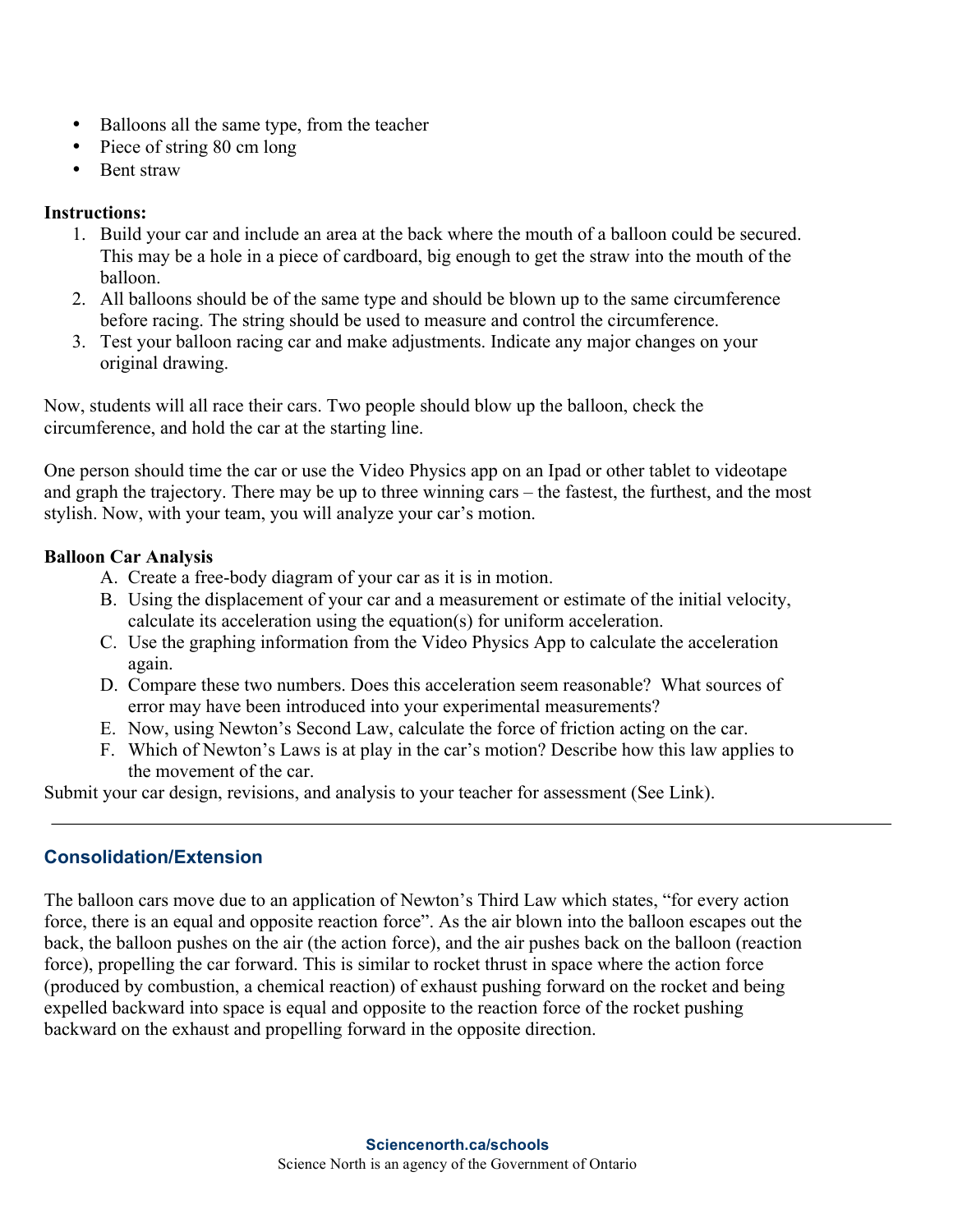- Balloons all the same type, from the teacher
- Piece of string 80 cm long
- Bent straw

### **Instructions:**

- 1. Build your car and include an area at the back where the mouth of a balloon could be secured. This may be a hole in a piece of cardboard, big enough to get the straw into the mouth of the balloon.
- 2. All balloons should be of the same type and should be blown up to the same circumference before racing. The string should be used to measure and control the circumference.
- 3. Test your balloon racing car and make adjustments. Indicate any major changes on your original drawing.

Now, students will all race their cars. Two people should blow up the balloon, check the circumference, and hold the car at the starting line.

One person should time the car or use the Video Physics app on an Ipad or other tablet to videotape and graph the trajectory. There may be up to three winning cars – the fastest, the furthest, and the most stylish. Now, with your team, you will analyze your car's motion.

## **Balloon Car Analysis**

- A. Create a free-body diagram of your car as it is in motion.
- B. Using the displacement of your car and a measurement or estimate of the initial velocity, calculate its acceleration using the equation(s) for uniform acceleration.
- C. Use the graphing information from the Video Physics App to calculate the acceleration again.
- D. Compare these two numbers. Does this acceleration seem reasonable? What sources of error may have been introduced into your experimental measurements?
- E. Now, using Newton's Second Law, calculate the force of friction acting on the car.
- F. Which of Newton's Laws is at play in the car's motion? Describe how this law applies to the movement of the car.

Submit your car design, revisions, and analysis to your teacher for assessment (See Link).

# **Consolidation/Extension**

The balloon cars move due to an application of Newton's Third Law which states, "for every action force, there is an equal and opposite reaction force". As the air blown into the balloon escapes out the back, the balloon pushes on the air (the action force), and the air pushes back on the balloon (reaction force), propelling the car forward. This is similar to rocket thrust in space where the action force (produced by combustion, a chemical reaction) of exhaust pushing forward on the rocket and being expelled backward into space is equal and opposite to the reaction force of the rocket pushing backward on the exhaust and propelling forward in the opposite direction.